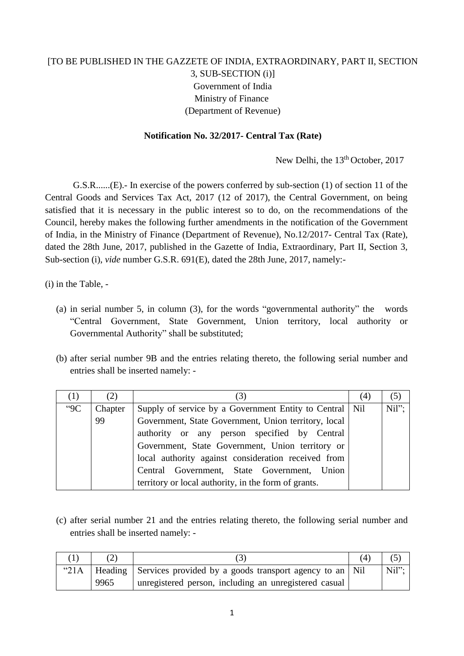## [TO BE PUBLISHED IN THE GAZZETE OF INDIA, EXTRAORDINARY, PART II, SECTION 3, SUB-SECTION (i)] Government of India Ministry of Finance (Department of Revenue)

## **Notification No. 32/2017- Central Tax (Rate)**

New Delhi, the 13<sup>th</sup> October, 2017

G.S.R......(E).- In exercise of the powers conferred by sub-section (1) of section 11 of the Central Goods and Services Tax Act, 2017 (12 of 2017), the Central Government, on being satisfied that it is necessary in the public interest so to do, on the recommendations of the Council, hereby makes the following further amendments in the notification of the Government of India, in the Ministry of Finance (Department of Revenue), No.12/2017- Central Tax (Rate), dated the 28th June, 2017, published in the Gazette of India, Extraordinary, Part II, Section 3, Sub-section (i), *vide* number G.S.R. 691(E), dated the 28th June, 2017, namely:-

(i) in the Table, -

- (a) in serial number 5, in column (3), for the words "governmental authority" the words "Central Government, State Government, Union territory, local authority or Governmental Authority" shall be substituted;
- (b) after serial number 9B and the entries relating thereto, the following serial number and entries shall be inserted namely: -

| (1)   | (2)     | (3)                                                       | (4) | (5)   |
|-------|---------|-----------------------------------------------------------|-----|-------|
| $-9C$ | Chapter | Supply of service by a Government Entity to Central   Nil |     | Nil"; |
|       | 99      | Government, State Government, Union territory, local      |     |       |
|       |         | authority or any person specified by Central              |     |       |
|       |         | Government, State Government, Union territory or          |     |       |
|       |         | local authority against consideration received from       |     |       |
|       |         | Central Government, State Government, Union               |     |       |
|       |         | territory or local authority, in the form of grants.      |     |       |

(c) after serial number 21 and the entries relating thereto, the following serial number and entries shall be inserted namely: -

|         |      |                                                                   | (4) |          |
|---------|------|-------------------------------------------------------------------|-----|----------|
| " $21A$ |      | Heading Services provided by a goods transport agency to an   Nil |     | $Nil$ "; |
|         | 9965 | unregistered person, including an unregistered casual             |     |          |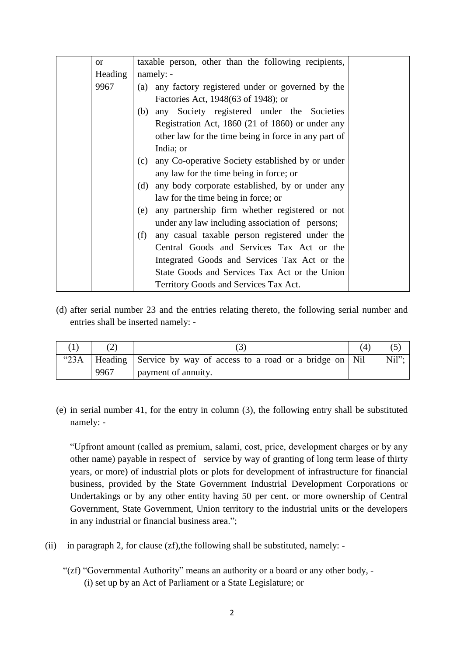| $\alpha$ | taxable person, other than the following recipients,    |
|----------|---------------------------------------------------------|
| Heading  | namely: -                                               |
| 9967     | (a) any factory registered under or governed by the     |
|          | Factories Act, 1948(63 of 1948); or                     |
|          | (b) any Society registered under the Societies          |
|          | Registration Act, 1860 (21 of 1860) or under any        |
|          | other law for the time being in force in any part of    |
|          | India; or                                               |
|          | any Co-operative Society established by or under<br>(c) |
|          | any law for the time being in force; or                 |
|          | any body corporate established, by or under any<br>(d)  |
|          | law for the time being in force; or                     |
|          | any partnership firm whether registered or not<br>(e)   |
|          | under any law including association of persons;         |
|          | (f)<br>any casual taxable person registered under the   |
|          | Central Goods and Services Tax Act or the               |
|          | Integrated Goods and Services Tax Act or the            |
|          | State Goods and Services Tax Act or the Union           |
|          | Territory Goods and Services Tax Act.                   |

(d) after serial number 23 and the entries relating thereto, the following serial number and entries shall be inserted namely: -

|      |                                                                          | $\left( 4\right)$ |       |
|------|--------------------------------------------------------------------------|-------------------|-------|
|      | "23A   Heading   Service by way of access to a road or a bridge on   Nil |                   | Nil"; |
| 9967 | payment of annuity.                                                      |                   |       |

(e) in serial number 41, for the entry in column (3), the following entry shall be substituted namely: -

"Upfront amount (called as premium, salami, cost, price, development charges or by any other name) payable in respect of service by way of granting of long term lease of thirty years, or more) of industrial plots or plots for development of infrastructure for financial business, provided by the State Government Industrial Development Corporations or Undertakings or by any other entity having 50 per cent. or more ownership of Central Government, State Government, Union territory to the industrial units or the developers in any industrial or financial business area.";

- (ii) in paragraph 2, for clause  $(zf)$ , the following shall be substituted, namely: -
	- "(zf) "Governmental Authority" means an authority or a board or any other body, (i) set up by an Act of Parliament or a State Legislature; or